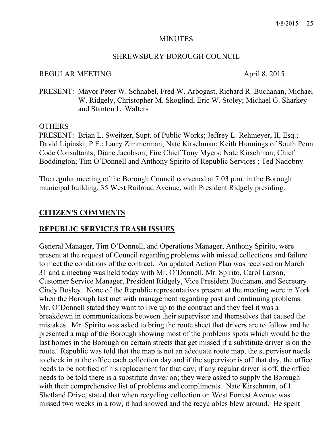#### **MINUTES**

#### SHREWSBURY BOROUGH COUNCIL

#### REGULAR MEETING April 8, 2015

PRESENT: Mayor Peter W. Schnabel, Fred W. Arbogast, Richard R. Buchanan, Michael W. Ridgely, Christopher M. Skoglind, Eric W. Stoley; Michael G. Sharkey and Stanton L. Walters

#### **OTHERS**

PRESENT: Brian L. Sweitzer, Supt. of Public Works; Jeffrey L. Rehmeyer, II, Esq.; David Lipinski, P.E.; Larry Zimmerman; Nate Kirschman; Keith Hunnings of South Penn Code Consultants; Diane Jacobson; Fire Chief Tony Myers; Nate Kirschman; Chief Boddington; Tim O'Donnell and Anthony Spirito of Republic Services ; Ted Nadobny

The regular meeting of the Borough Council convened at 7:03 p.m. in the Borough municipal building, 35 West Railroad Avenue, with President Ridgely presiding.

#### **CITIZEN'S COMMENTS**

#### **REPUBLIC SERVICES TRASH ISSUES**

General Manager, Tim O'Donnell, and Operations Manager, Anthony Spirito, were present at the request of Council regarding problems with missed collections and failure to meet the conditions of the contract. An updated Action Plan was received on March 31 and a meeting was held today with Mr. O'Donnell, Mr. Spirito, Carol Larson, Customer Service Manager, President Ridgely, Vice President Buchanan, and Secretary Cindy Bosley. None of the Republic representatives present at the meeting were in York when the Borough last met with management regarding past and continuing problems. Mr. O'Donnell stated they want to live up to the contract and they feel it was a breakdown in communications between their supervisor and themselves that caused the mistakes. Mr. Spirito was asked to bring the route sheet that drivers are to follow and he presented a map of the Borough showing most of the problems spots which would be the last homes in the Borough on certain streets that get missed if a substitute driver is on the route. Republic was told that the map is not an adequate route map, the supervisor needs to check in at the office each collection day and if the supervisor is off that day, the office needs to be notified of his replacement for that day; if any regular driver is off, the office needs to be told there is a substitute driver on; they were asked to supply the Borough with their comprehensive list of problems and compliments. Nate Kirschman, of 1 Shetland Drive, stated that when recycling collection on West Forrest Avenue was missed two weeks in a row, it had snowed and the recyclables blew around. He spent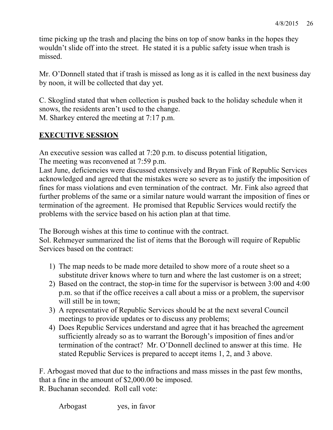time picking up the trash and placing the bins on top of snow banks in the hopes they wouldn't slide off into the street. He stated it is a public safety issue when trash is missed.

Mr. O'Donnell stated that if trash is missed as long as it is called in the next business day by noon, it will be collected that day yet.

C. Skoglind stated that when collection is pushed back to the holiday schedule when it snows, the residents aren't used to the change.

M. Sharkey entered the meeting at 7:17 p.m.

# **EXECUTIVE SESSION**

An executive session was called at 7:20 p.m. to discuss potential litigation, The meeting was reconvened at 7:59 p.m.

Last June, deficiencies were discussed extensively and Bryan Fink of Republic Services acknowledged and agreed that the mistakes were so severe as to justify the imposition of fines for mass violations and even termination of the contract. Mr. Fink also agreed that further problems of the same or a similar nature would warrant the imposition of fines or termination of the agreement. He promised that Republic Services would rectify the problems with the service based on his action plan at that time.

The Borough wishes at this time to continue with the contract.

Sol. Rehmeyer summarized the list of items that the Borough will require of Republic Services based on the contract:

- 1) The map needs to be made more detailed to show more of a route sheet so a substitute driver knows where to turn and where the last customer is on a street;
- 2) Based on the contract, the stop-in time for the supervisor is between 3:00 and 4:00 p.m. so that if the office receives a call about a miss or a problem, the supervisor will still be in town;
- 3) A representative of Republic Services should be at the next several Council meetings to provide updates or to discuss any problems;
- 4) Does Republic Services understand and agree that it has breached the agreement sufficiently already so as to warrant the Borough's imposition of fines and/or termination of the contract? Mr. O'Donnell declined to answer at this time. He stated Republic Services is prepared to accept items 1, 2, and 3 above.

F. Arbogast moved that due to the infractions and mass misses in the past few months, that a fine in the amount of \$2,000.00 be imposed.

R. Buchanan seconded. Roll call vote:

Arbogast yes, in favor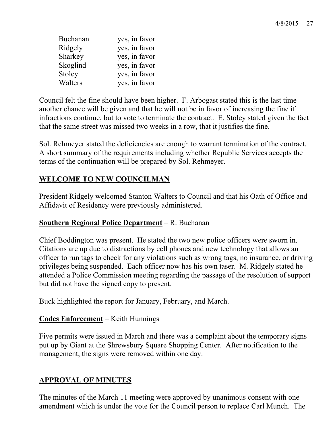| Buchanan | yes, in favor |
|----------|---------------|
| Ridgely  | yes, in favor |
| Sharkey  | yes, in favor |
| Skoglind | yes, in favor |
| Stoley   | yes, in favor |
| Walters  | yes, in favor |

Council felt the fine should have been higher. F. Arbogast stated this is the last time another chance will be given and that he will not be in favor of increasing the fine if infractions continue, but to vote to terminate the contract. E. Stoley stated given the fact that the same street was missed two weeks in a row, that it justifies the fine.

Sol. Rehmeyer stated the deficiencies are enough to warrant termination of the contract. A short summary of the requirements including whether Republic Services accepts the terms of the continuation will be prepared by Sol. Rehmeyer.

# **WELCOME TO NEW COUNCILMAN**

President Ridgely welcomed Stanton Walters to Council and that his Oath of Office and Affidavit of Residency were previously administered.

# **Southern Regional Police Department** – R. Buchanan

Chief Boddington was present. He stated the two new police officers were sworn in. Citations are up due to distractions by cell phones and new technology that allows an officer to run tags to check for any violations such as wrong tags, no insurance, or driving privileges being suspended. Each officer now has his own taser. M. Ridgely stated he attended a Police Commission meeting regarding the passage of the resolution of support but did not have the signed copy to present.

Buck highlighted the report for January, February, and March.

# **Codes Enforcement** – Keith Hunnings

Five permits were issued in March and there was a complaint about the temporary signs put up by Giant at the Shrewsbury Square Shopping Center. After notification to the management, the signs were removed within one day.

# **APPROVAL OF MINUTES**

The minutes of the March 11 meeting were approved by unanimous consent with one amendment which is under the vote for the Council person to replace Carl Munch. The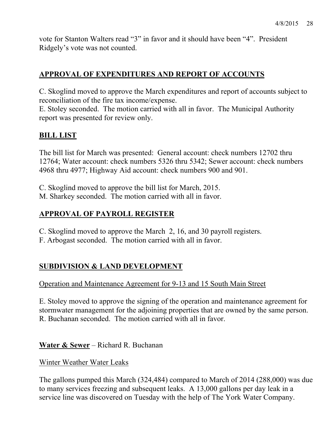vote for Stanton Walters read "3" in favor and it should have been "4". President Ridgely's vote was not counted.

# **APPROVAL OF EXPENDITURES AND REPORT OF ACCOUNTS**

C. Skoglind moved to approve the March expenditures and report of accounts subject to reconciliation of the fire tax income/expense.

E. Stoley seconded. The motion carried with all in favor. The Municipal Authority report was presented for review only.

# **BILL LIST**

The bill list for March was presented: General account: check numbers 12702 thru 12764; Water account: check numbers 5326 thru 5342; Sewer account: check numbers 4968 thru 4977; Highway Aid account: check numbers 900 and 901.

C. Skoglind moved to approve the bill list for March, 2015.

M. Sharkey seconded. The motion carried with all in favor.

# **APPROVAL OF PAYROLL REGISTER**

C. Skoglind moved to approve the March 2, 16, and 30 payroll registers.

F. Arbogast seconded. The motion carried with all in favor.

# **SUBDIVISION & LAND DEVELOPMENT**

Operation and Maintenance Agreement for 9-13 and 15 South Main Street

E. Stoley moved to approve the signing of the operation and maintenance agreement for stormwater management for the adjoining properties that are owned by the same person. R. Buchanan seconded. The motion carried with all in favor.

**Water & Sewer** – Richard R. Buchanan

Winter Weather Water Leaks

The gallons pumped this March (324,484) compared to March of 2014 (288,000) was due to many services freezing and subsequent leaks. A 13,000 gallons per day leak in a service line was discovered on Tuesday with the help of The York Water Company.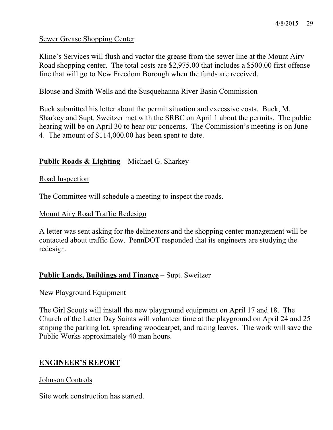## Sewer Grease Shopping Center

Kline's Services will flush and vactor the grease from the sewer line at the Mount Airy Road shopping center. The total costs are \$2,975.00 that includes a \$500.00 first offense fine that will go to New Freedom Borough when the funds are received.

#### Blouse and Smith Wells and the Susquehanna River Basin Commission

Buck submitted his letter about the permit situation and excessive costs. Buck, M. Sharkey and Supt. Sweitzer met with the SRBC on April 1 about the permits. The public hearing will be on April 30 to hear our concerns. The Commission's meeting is on June 4. The amount of \$114,000.00 has been spent to date.

## **Public Roads & Lighting** – Michael G. Sharkey

#### Road Inspection

The Committee will schedule a meeting to inspect the roads.

#### Mount Airy Road Traffic Redesign

A letter was sent asking for the delineators and the shopping center management will be contacted about traffic flow. PennDOT responded that its engineers are studying the redesign.

#### **Public Lands, Buildings and Finance** – Supt. Sweitzer

#### New Playground Equipment

The Girl Scouts will install the new playground equipment on April 17 and 18. The Church of the Latter Day Saints will volunteer time at the playground on April 24 and 25 striping the parking lot, spreading woodcarpet, and raking leaves. The work will save the Public Works approximately 40 man hours.

#### **ENGINEER'S REPORT**

#### Johnson Controls

Site work construction has started.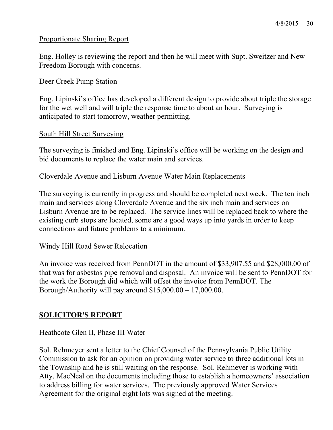## Proportionate Sharing Report

Eng. Holley is reviewing the report and then he will meet with Supt. Sweitzer and New Freedom Borough with concerns.

## Deer Creek Pump Station

Eng. Lipinski's office has developed a different design to provide about triple the storage for the wet well and will triple the response time to about an hour. Surveying is anticipated to start tomorrow, weather permitting.

## South Hill Street Surveying

The surveying is finished and Eng. Lipinski's office will be working on the design and bid documents to replace the water main and services.

## Cloverdale Avenue and Lisburn Avenue Water Main Replacements

The surveying is currently in progress and should be completed next week. The ten inch main and services along Cloverdale Avenue and the six inch main and services on Lisburn Avenue are to be replaced. The service lines will be replaced back to where the existing curb stops are located, some are a good ways up into yards in order to keep connections and future problems to a minimum.

#### Windy Hill Road Sewer Relocation

An invoice was received from PennDOT in the amount of \$33,907.55 and \$28,000.00 of that was for asbestos pipe removal and disposal. An invoice will be sent to PennDOT for the work the Borough did which will offset the invoice from PennDOT. The Borough/Authority will pay around  $$15,000.00 - 17,000.00$ .

# **SOLICITOR'S REPORT**

#### Heathcote Glen II, Phase III Water

Sol. Rehmeyer sent a letter to the Chief Counsel of the Pennsylvania Public Utility Commission to ask for an opinion on providing water service to three additional lots in the Township and he is still waiting on the response. Sol. Rehmeyer is working with Atty. MacNeal on the documents including those to establish a homeowners' association to address billing for water services. The previously approved Water Services Agreement for the original eight lots was signed at the meeting.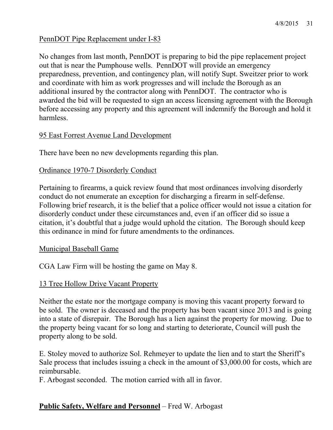## PennDOT Pipe Replacement under I-83

No changes from last month, PennDOT is preparing to bid the pipe replacement project out that is near the Pumphouse wells. PennDOT will provide an emergency preparedness, prevention, and contingency plan, will notify Supt. Sweitzer prior to work and coordinate with him as work progresses and will include the Borough as an additional insured by the contractor along with PennDOT. The contractor who is awarded the bid will be requested to sign an access licensing agreement with the Borough before accessing any property and this agreement will indemnify the Borough and hold it harmless.

#### 95 East Forrest Avenue Land Development

There have been no new developments regarding this plan.

## Ordinance 1970-7 Disorderly Conduct

Pertaining to firearms, a quick review found that most ordinances involving disorderly conduct do not enumerate an exception for discharging a firearm in self-defense. Following brief research, it is the belief that a police officer would not issue a citation for disorderly conduct under these circumstances and, even if an officer did so issue a citation, it's doubtful that a judge would uphold the citation. The Borough should keep this ordinance in mind for future amendments to the ordinances.

#### Municipal Baseball Game

CGA Law Firm will be hosting the game on May 8.

#### 13 Tree Hollow Drive Vacant Property

Neither the estate nor the mortgage company is moving this vacant property forward to be sold. The owner is deceased and the property has been vacant since 2013 and is going into a state of disrepair. The Borough has a lien against the property for mowing. Due to the property being vacant for so long and starting to deteriorate, Council will push the property along to be sold.

E. Stoley moved to authorize Sol. Rehmeyer to update the lien and to start the Sheriff's Sale process that includes issuing a check in the amount of \$3,000.00 for costs, which are reimbursable.

F. Arbogast seconded. The motion carried with all in favor.

# **Public Safety, Welfare and Personnel** – Fred W. Arbogast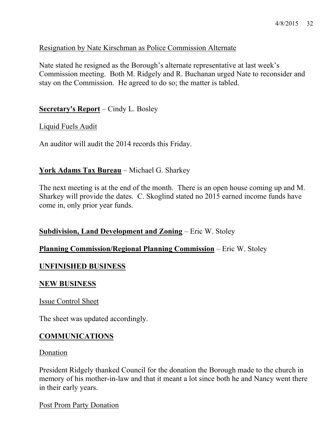#### Resignation by Nate Kirschman as Police Commission Alternate

Nate stated he resigned as the Borough's alternate representative at last week's Commission meeting. Both M. Ridgely and R. Buchanan urged Nate to reconsider and stay on the Commission. He agreed to do so; the matter is tabled.

**Secretary's Report** – Cindy L. Bosley

Liquid Fuels Audit

An auditor will audit the 2014 records this Friday.

#### **York Adams Tax Bureau** – Michael G. Sharkey

The next meeting is at the end of the month. There is an open house coming up and M. Sharkey will provide the dates. C. Skoglind stated no 2015 earned income funds have come in, only prior year funds.

#### **Subdivision, Land Development and Zoning** – Eric W. Stoley

#### **Planning Commission/Regional Planning Commission** – Eric W. Stoley

#### **UNFINISHED BUSINESS**

#### **NEW BUSINESS**

Issue Control Sheet

The sheet was updated accordingly.

#### **COMMUNICATIONS**

#### Donation

President Ridgely thanked Council for the donation the Borough made to the church in memory of his mother-in-law and that it meant a lot since both he and Nancy went there in their early years.

Post Prom Party Donation